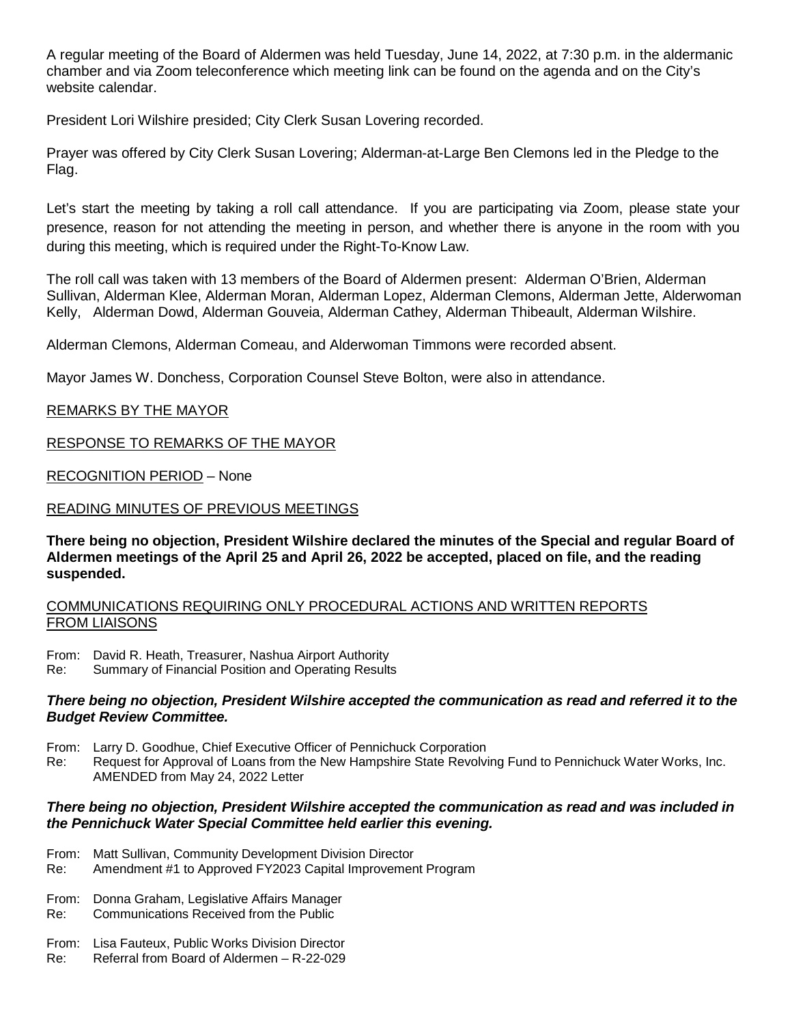A regular meeting of the Board of Aldermen was held Tuesday, June 14, 2022, at 7:30 p.m. in the aldermanic chamber and via Zoom teleconference which meeting link can be found on the agenda and on the City's website calendar.

President Lori Wilshire presided; City Clerk Susan Lovering recorded.

Prayer was offered by City Clerk Susan Lovering; Alderman-at-Large Ben Clemons led in the Pledge to the Flag.

Let's start the meeting by taking a roll call attendance. If you are participating via Zoom, please state your presence, reason for not attending the meeting in person, and whether there is anyone in the room with you during this meeting, which is required under the Right-To-Know Law.

The roll call was taken with 13 members of the Board of Aldermen present: Alderman O'Brien, Alderman Sullivan, Alderman Klee, Alderman Moran, Alderman Lopez, Alderman Clemons, Alderman Jette, Alderwoman Kelly, Alderman Dowd, Alderman Gouveia, Alderman Cathey, Alderman Thibeault, Alderman Wilshire.

Alderman Clemons, Alderman Comeau, and Alderwoman Timmons were recorded absent.

Mayor James W. Donchess, Corporation Counsel Steve Bolton, were also in attendance.

### REMARKS BY THE MAYOR

RESPONSE TO REMARKS OF THE MAYOR

RECOGNITION PERIOD – None

### READING MINUTES OF PREVIOUS MEETINGS

**There being no objection, President Wilshire declared the minutes of the Special and regular Board of Aldermen meetings of the April 25 and April 26, 2022 be accepted, placed on file, and the reading suspended.**

### COMMUNICATIONS REQUIRING ONLY PROCEDURAL ACTIONS AND WRITTEN REPORTS FROM LIAISONS

From: David R. Heath, Treasurer, Nashua Airport Authority

Re: Summary of Financial Position and Operating Results

### *There being no objection, President Wilshire accepted the communication as read and referred it to the Budget Review Committee.*

From: Larry D. Goodhue, Chief Executive Officer of Pennichuck Corporation

Re: Request for Approval of Loans from the New Hampshire State Revolving Fund to Pennichuck Water Works, Inc. AMENDED from May 24, 2022 Letter

### *There being no objection, President Wilshire accepted the communication as read and was included in the Pennichuck Water Special Committee held earlier this evening.*

- From: Matt Sullivan, Community Development Division Director
- Re: Amendment #1 to Approved FY2023 Capital Improvement Program
- From: Donna Graham, Legislative Affairs Manager
- Re: Communications Received from the Public
- From: Lisa Fauteux, Public Works Division Director
- Re: Referral from Board of Aldermen R-22-029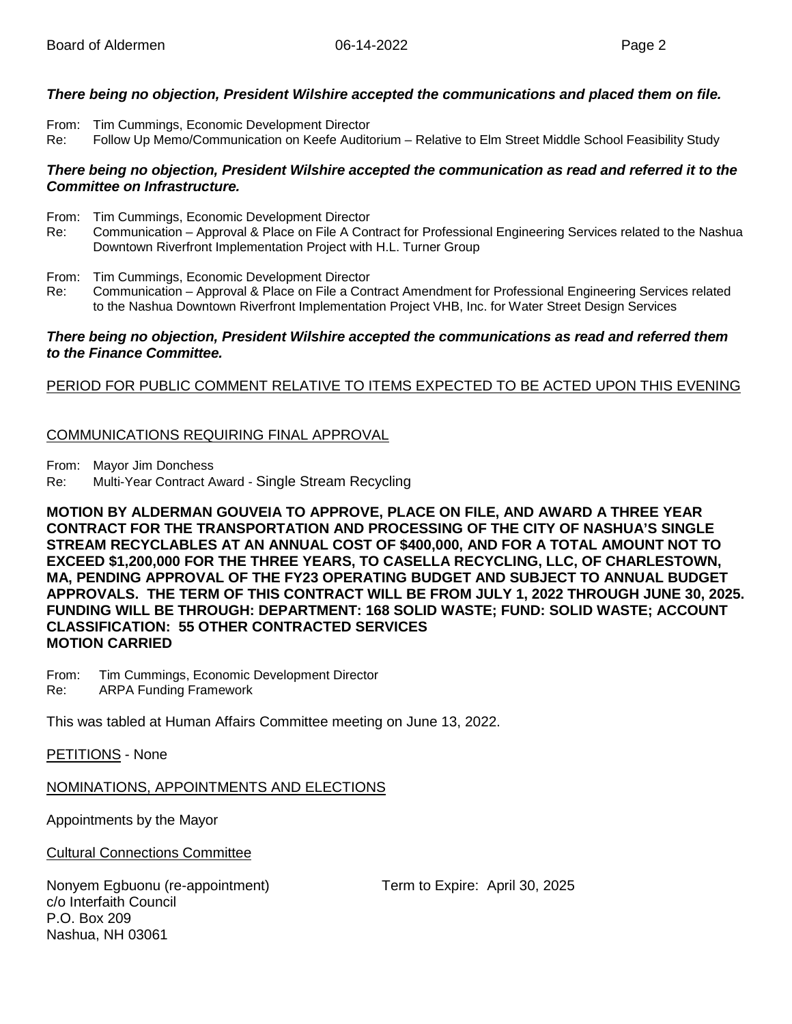### *There being no objection, President Wilshire accepted the communications and placed them on file.*

- From: Tim Cummings, Economic Development Director
- Re: Follow Up Memo/Communication on Keefe Auditorium Relative to Elm Street Middle School Feasibility Study

### *There being no objection, President Wilshire accepted the communication as read and referred it to the Committee on Infrastructure.*

- From: Tim Cummings, Economic Development Director
- Re: Communication Approval & Place on File A Contract for Professional Engineering Services related to the Nashua Downtown Riverfront Implementation Project with H.L. Turner Group
- From: Tim Cummings, Economic Development Director
- Re: Communication Approval & Place on File a Contract Amendment for Professional Engineering Services related to the Nashua Downtown Riverfront Implementation Project VHB, Inc. for Water Street Design Services

### *There being no objection, President Wilshire accepted the communications as read and referred them to the Finance Committee.*

### PERIOD FOR PUBLIC COMMENT RELATIVE TO ITEMS EXPECTED TO BE ACTED UPON THIS EVENING

### COMMUNICATIONS REQUIRING FINAL APPROVAL

From: Mayor Jim Donchess

Re: Multi-Year Contract Award - Single Stream Recycling

**MOTION BY ALDERMAN GOUVEIA TO APPROVE, PLACE ON FILE, AND AWARD A THREE YEAR CONTRACT FOR THE TRANSPORTATION AND PROCESSING OF THE CITY OF NASHUA'S SINGLE STREAM RECYCLABLES AT AN ANNUAL COST OF \$400,000, AND FOR A TOTAL AMOUNT NOT TO EXCEED \$1,200,000 FOR THE THREE YEARS, TO CASELLA RECYCLING, LLC, OF CHARLESTOWN, MA, PENDING APPROVAL OF THE FY23 OPERATING BUDGET AND SUBJECT TO ANNUAL BUDGET APPROVALS. THE TERM OF THIS CONTRACT WILL BE FROM JULY 1, 2022 THROUGH JUNE 30, 2025. FUNDING WILL BE THROUGH: DEPARTMENT: 168 SOLID WASTE; FUND: SOLID WASTE; ACCOUNT CLASSIFICATION: 55 OTHER CONTRACTED SERVICES MOTION CARRIED**

From: Tim Cummings, Economic Development Director<br>Re: ARPA Funding Framework **ARPA Funding Framework** 

This was tabled at Human Affairs Committee meeting on June 13, 2022.

PETITIONS - None

NOMINATIONS, APPOINTMENTS AND ELECTIONS

Appointments by the Mayor

Cultural Connections Committee

Nonyem Egbuonu (re-appointment) Term to Expire: April 30, 2025 c/o Interfaith Council P.O. Box 209 Nashua, NH 03061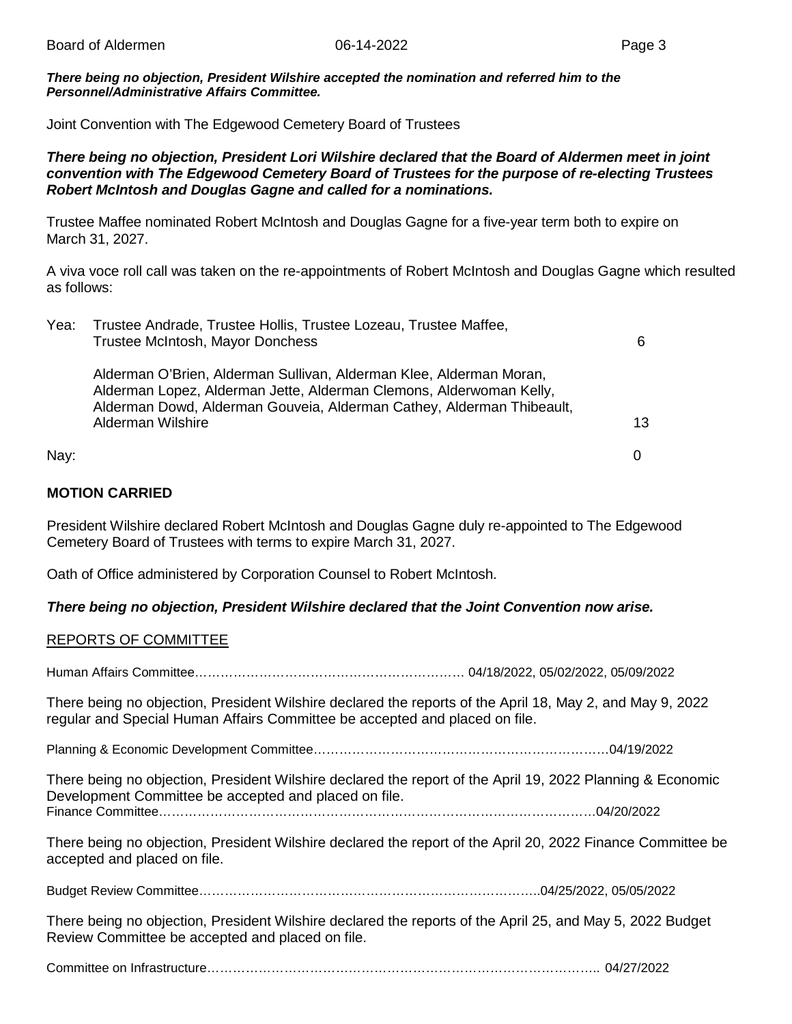*There being no objection, President Wilshire accepted the nomination and referred him to the Personnel/Administrative Affairs Committee.*

Joint Convention with The Edgewood Cemetery Board of Trustees

### *There being no objection, President Lori Wilshire declared that the Board of Aldermen meet in joint convention with The Edgewood Cemetery Board of Trustees for the purpose of re-electing Trustees Robert McIntosh and Douglas Gagne and called for a nominations.*

Trustee Maffee nominated Robert McIntosh and Douglas Gagne for a five-year term both to expire on March 31, 2027.

A viva voce roll call was taken on the re-appointments of Robert McIntosh and Douglas Gagne which resulted as follows:

| Yea: | Trustee Andrade, Trustee Hollis, Trustee Lozeau, Trustee Maffee,<br>Trustee McIntosh, Mayor Donchess                                                                                                                                            | 6                 |
|------|-------------------------------------------------------------------------------------------------------------------------------------------------------------------------------------------------------------------------------------------------|-------------------|
|      | Alderman O'Brien, Alderman Sullivan, Alderman Klee, Alderman Moran,<br>Alderman Lopez, Alderman Jette, Alderman Clemons, Alderwoman Kelly,<br>Alderman Dowd, Alderman Gouveia, Alderman Cathey, Alderman Thibeault,<br><b>Alderman Wilshire</b> | 13                |
| Nay: |                                                                                                                                                                                                                                                 | $\mathbf{\Omega}$ |

### **MOTION CARRIED**

President Wilshire declared Robert McIntosh and Douglas Gagne duly re-appointed to The Edgewood Cemetery Board of Trustees with terms to expire March 31, 2027.

Oath of Office administered by Corporation Counsel to Robert McIntosh.

### *There being no objection, President Wilshire declared that the Joint Convention now arise.*

### REPORTS OF COMMITTEE

Human Affairs Committee……………………………………………………… 04/18/2022, 05/02/2022, 05/09/2022

There being no objection, President Wilshire declared the reports of the April 18, May 2, and May 9, 2022 regular and Special Human Affairs Committee be accepted and placed on file.

Planning & Economic Development Committee……………………………………………………………04/19/2022

There being no objection, President Wilshire declared the report of the April 19, 2022 Planning & Economic Development Committee be accepted and placed on file.

Finance Committee…………………………………………………………………………………………04/20/2022

There being no objection, President Wilshire declared the report of the April 20, 2022 Finance Committee be accepted and placed on file.

Budget Review Committee……………………………………………………………………..04/25/2022, 05/05/2022

There being no objection, President Wilshire declared the reports of the April 25, and May 5, 2022 Budget Review Committee be accepted and placed on file.

Committee on Infrastructure……………………………………………………………………………….. 04/27/2022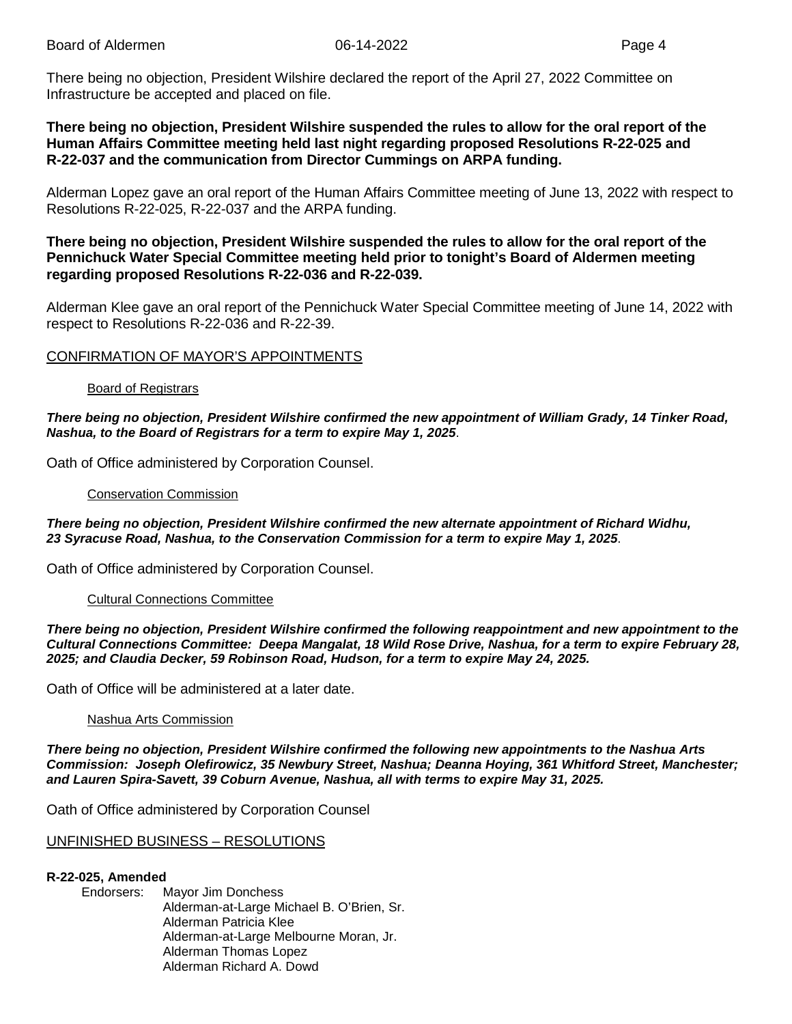There being no objection, President Wilshire declared the report of the April 27, 2022 Committee on Infrastructure be accepted and placed on file.

### **There being no objection, President Wilshire suspended the rules to allow for the oral report of the Human Affairs Committee meeting held last night regarding proposed Resolutions R-22-025 and R-22-037 and the communication from Director Cummings on ARPA funding.**

Alderman Lopez gave an oral report of the Human Affairs Committee meeting of June 13, 2022 with respect to Resolutions R-22-025, R-22-037 and the ARPA funding.

### **There being no objection, President Wilshire suspended the rules to allow for the oral report of the Pennichuck Water Special Committee meeting held prior to tonight's Board of Aldermen meeting regarding proposed Resolutions R-22-036 and R-22-039.**

Alderman Klee gave an oral report of the Pennichuck Water Special Committee meeting of June 14, 2022 with respect to Resolutions R-22-036 and R-22-39.

### CONFIRMATION OF MAYOR'S APPOINTMENTS

### Board of Registrars

### *There being no objection, President Wilshire confirmed the new appointment of William Grady, 14 Tinker Road, Nashua, to the Board of Registrars for a term to expire May 1, 2025*.

Oath of Office administered by Corporation Counsel.

### Conservation Commission

*There being no objection, President Wilshire confirmed the new alternate appointment of Richard Widhu, 23 Syracuse Road, Nashua, to the Conservation Commission for a term to expire May 1, 2025*.

Oath of Office administered by Corporation Counsel.

### Cultural Connections Committee

*There being no objection, President Wilshire confirmed the following reappointment and new appointment to the Cultural Connections Committee: Deepa Mangalat, 18 Wild Rose Drive, Nashua, for a term to expire February 28, 2025; and Claudia Decker, 59 Robinson Road, Hudson, for a term to expire May 24, 2025.*

Oath of Office will be administered at a later date.

#### Nashua Arts Commission

*There being no objection, President Wilshire confirmed the following new appointments to the Nashua Arts Commission: Joseph Olefirowicz, 35 Newbury Street, Nashua; Deanna Hoying, 361 Whitford Street, Manchester; and Lauren Spira-Savett, 39 Coburn Avenue, Nashua, all with terms to expire May 31, 2025.* 

Oath of Office administered by Corporation Counsel

### UNFINISHED BUSINESS – RESOLUTIONS

#### **R-22-025, Amended**

Endorsers: Mayor Jim Donchess Alderman-at-Large Michael B. O'Brien, Sr. Alderman Patricia Klee Alderman-at-Large Melbourne Moran, Jr. Alderman Thomas Lopez Alderman Richard A. Dowd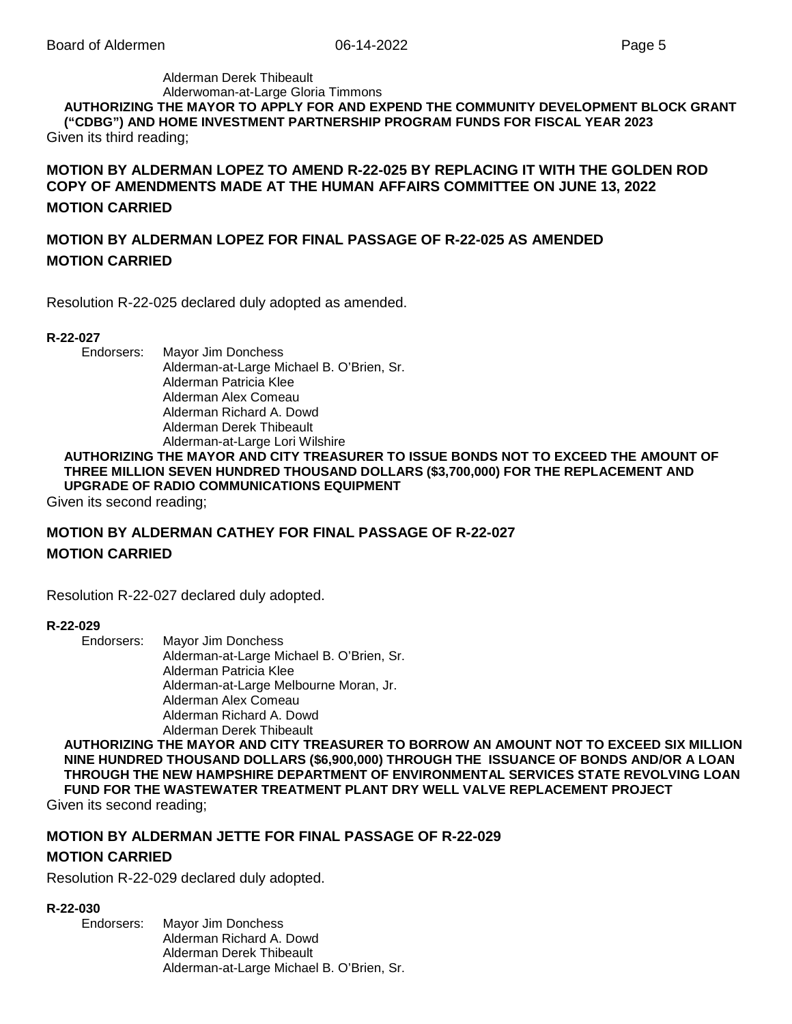#### Alderman Derek Thibeault Alderwoman-at-Large Gloria Timmons **AUTHORIZING THE MAYOR TO APPLY FOR AND EXPEND THE COMMUNITY DEVELOPMENT BLOCK GRANT ("CDBG") AND HOME INVESTMENT PARTNERSHIP PROGRAM FUNDS FOR FISCAL YEAR 2023** Given its third reading;

**MOTION BY ALDERMAN LOPEZ TO AMEND R-22-025 BY REPLACING IT WITH THE GOLDEN ROD COPY OF AMENDMENTS MADE AT THE HUMAN AFFAIRS COMMITTEE ON JUNE 13, 2022 MOTION CARRIED**

### **MOTION BY ALDERMAN LOPEZ FOR FINAL PASSAGE OF R-22-025 AS AMENDED MOTION CARRIED**

Resolution R-22-025 declared duly adopted as amended.

### **R-22-027**

Endorsers: Mayor Jim Donchess Alderman-at-Large Michael B. O'Brien, Sr. Alderman Patricia Klee Alderman Alex Comeau Alderman Richard A. Dowd Alderman Derek Thibeault Alderman-at-Large Lori Wilshire

### **AUTHORIZING THE MAYOR AND CITY TREASURER TO ISSUE BONDS NOT TO EXCEED THE AMOUNT OF THREE MILLION SEVEN HUNDRED THOUSAND DOLLARS (\$3,700,000) FOR THE REPLACEMENT AND UPGRADE OF RADIO COMMUNICATIONS EQUIPMENT**

Given its second reading;

### **MOTION BY ALDERMAN CATHEY FOR FINAL PASSAGE OF R-22-027 MOTION CARRIED**

Resolution R-22-027 declared duly adopted.

#### **R-22-029**

Endorsers: Mayor Jim Donchess Alderman-at-Large Michael B. O'Brien, Sr. Alderman Patricia Klee Alderman-at-Large Melbourne Moran, Jr. Alderman Alex Comeau Alderman Richard A. Dowd Alderman Derek Thibeault

**AUTHORIZING THE MAYOR AND CITY TREASURER TO BORROW AN AMOUNT NOT TO EXCEED SIX MILLION NINE HUNDRED THOUSAND DOLLARS (\$6,900,000) THROUGH THE ISSUANCE OF BONDS AND/OR A LOAN THROUGH THE NEW HAMPSHIRE DEPARTMENT OF ENVIRONMENTAL SERVICES STATE REVOLVING LOAN FUND FOR THE WASTEWATER TREATMENT PLANT DRY WELL VALVE REPLACEMENT PROJECT** Given its second reading;

### **MOTION BY ALDERMAN JETTE FOR FINAL PASSAGE OF R-22-029 MOTION CARRIED**

Resolution R-22-029 declared duly adopted.

#### **R-22-030**

Endorsers: Mayor Jim Donchess Alderman Richard A. Dowd Alderman Derek Thibeault Alderman-at-Large Michael B. O'Brien, Sr.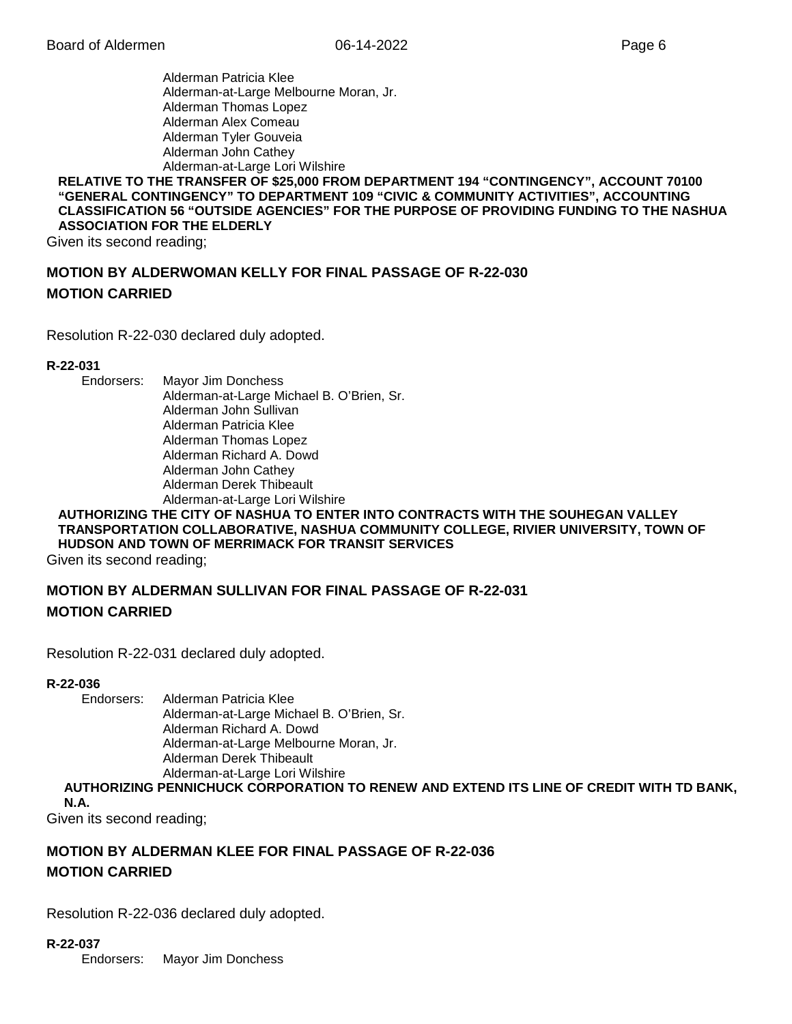Alderman Patricia Klee Alderman-at-Large Melbourne Moran, Jr. Alderman Thomas Lopez Alderman Alex Comeau Alderman Tyler Gouveia Alderman John Cathey Alderman-at-Large Lori Wilshire

### **RELATIVE TO THE TRANSFER OF \$25,000 FROM DEPARTMENT 194 "CONTINGENCY", ACCOUNT 70100 "GENERAL CONTINGENCY" TO DEPARTMENT 109 "CIVIC & COMMUNITY ACTIVITIES", ACCOUNTING CLASSIFICATION 56 "OUTSIDE AGENCIES" FOR THE PURPOSE OF PROVIDING FUNDING TO THE NASHUA ASSOCIATION FOR THE ELDERLY**

Given its second reading;

### **MOTION BY ALDERWOMAN KELLY FOR FINAL PASSAGE OF R-22-030 MOTION CARRIED**

Resolution R-22-030 declared duly adopted.

### **R-22-031**

Endorsers: Mayor Jim Donchess Alderman-at-Large Michael B. O'Brien, Sr. Alderman John Sullivan Alderman Patricia Klee Alderman Thomas Lopez Alderman Richard A. Dowd Alderman John Cathey Alderman Derek Thibeault Alderman-at-Large Lori Wilshire

### **AUTHORIZING THE CITY OF NASHUA TO ENTER INTO CONTRACTS WITH THE SOUHEGAN VALLEY TRANSPORTATION COLLABORATIVE, NASHUA COMMUNITY COLLEGE, RIVIER UNIVERSITY, TOWN OF HUDSON AND TOWN OF MERRIMACK FOR TRANSIT SERVICES**

Given its second reading;

### **MOTION BY ALDERMAN SULLIVAN FOR FINAL PASSAGE OF R-22-031 MOTION CARRIED**

Resolution R-22-031 declared duly adopted.

# **R-22-036**

Alderman Patricia Klee Alderman-at-Large Michael B. O'Brien, Sr. Alderman Richard A. Dowd Alderman-at-Large Melbourne Moran, Jr. Alderman Derek Thibeault Alderman-at-Large Lori Wilshire

**AUTHORIZING PENNICHUCK CORPORATION TO RENEW AND EXTEND ITS LINE OF CREDIT WITH TD BANK, N.A.**

Given its second reading;

### **MOTION BY ALDERMAN KLEE FOR FINAL PASSAGE OF R-22-036 MOTION CARRIED**

Resolution R-22-036 declared duly adopted.

### **R-22-037**

Endorsers: Mayor Jim Donchess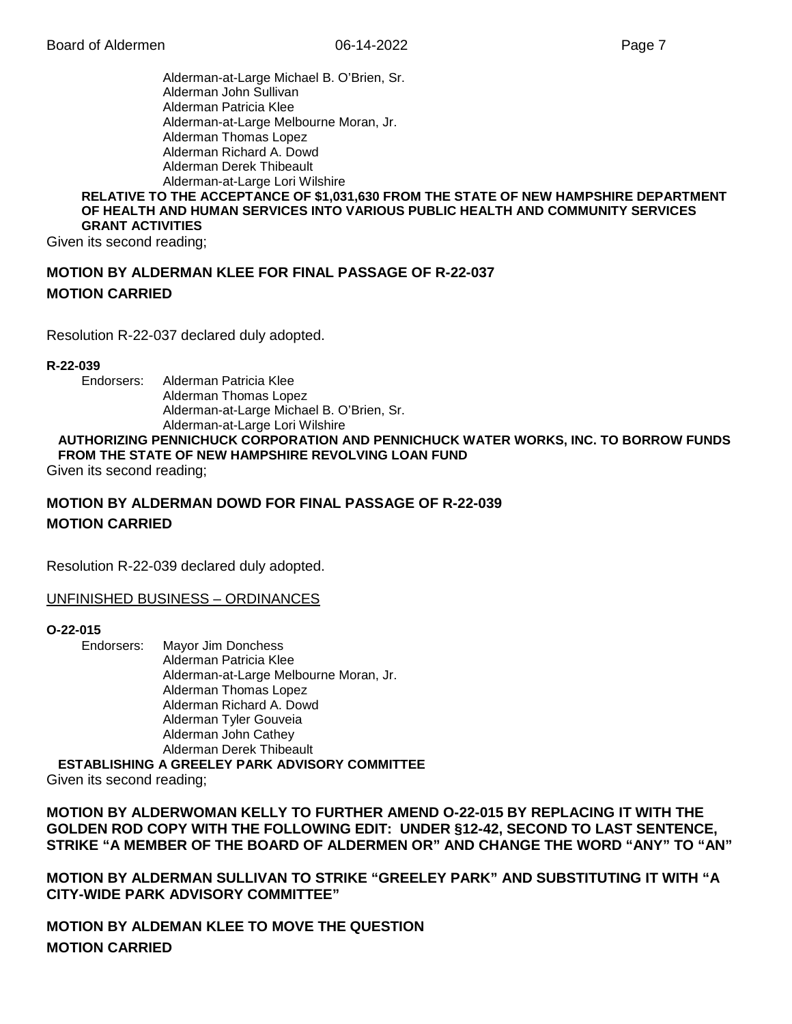Alderman-at-Large Michael B. O'Brien, Sr. Alderman John Sullivan Alderman Patricia Klee Alderman-at-Large Melbourne Moran, Jr. Alderman Thomas Lopez Alderman Richard A. Dowd Alderman Derek Thibeault Alderman-at-Large Lori Wilshire **RELATIVE TO THE ACCEPTANCE OF \$1,031,630 FROM THE STATE OF NEW HAMPSHIRE DEPARTMENT** 

## **OF HEALTH AND HUMAN SERVICES INTO VARIOUS PUBLIC HEALTH AND COMMUNITY SERVICES GRANT ACTIVITIES**

Given its second reading;

### **MOTION BY ALDERMAN KLEE FOR FINAL PASSAGE OF R-22-037 MOTION CARRIED**

Resolution R-22-037 declared duly adopted.

### **R-22-039**

Endorsers: Alderman Patricia Klee Alderman Thomas Lopez Alderman-at-Large Michael B. O'Brien, Sr. Alderman-at-Large Lori Wilshire

### **AUTHORIZING PENNICHUCK CORPORATION AND PENNICHUCK WATER WORKS, INC. TO BORROW FUNDS FROM THE STATE OF NEW HAMPSHIRE REVOLVING LOAN FUND**

Given its second reading;

### **MOTION BY ALDERMAN DOWD FOR FINAL PASSAGE OF R-22-039 MOTION CARRIED**

Resolution R-22-039 declared duly adopted.

### UNFINISHED BUSINESS – ORDINANCES

# **O-22-015**

**Mayor Jim Donchess** Alderman Patricia Klee Alderman-at-Large Melbourne Moran, Jr. Alderman Thomas Lopez Alderman Richard A. Dowd Alderman Tyler Gouveia Alderman John Cathey Alderman Derek Thibeault

**ESTABLISHING A GREELEY PARK ADVISORY COMMITTEE**

Given its second reading;

**MOTION BY ALDERWOMAN KELLY TO FURTHER AMEND O-22-015 BY REPLACING IT WITH THE GOLDEN ROD COPY WITH THE FOLLOWING EDIT: UNDER §12-42, SECOND TO LAST SENTENCE, STRIKE "A MEMBER OF THE BOARD OF ALDERMEN OR" AND CHANGE THE WORD "ANY" TO "AN"**

**MOTION BY ALDERMAN SULLIVAN TO STRIKE "GREELEY PARK" AND SUBSTITUTING IT WITH "A CITY-WIDE PARK ADVISORY COMMITTEE"**

**MOTION BY ALDEMAN KLEE TO MOVE THE QUESTION MOTION CARRIED**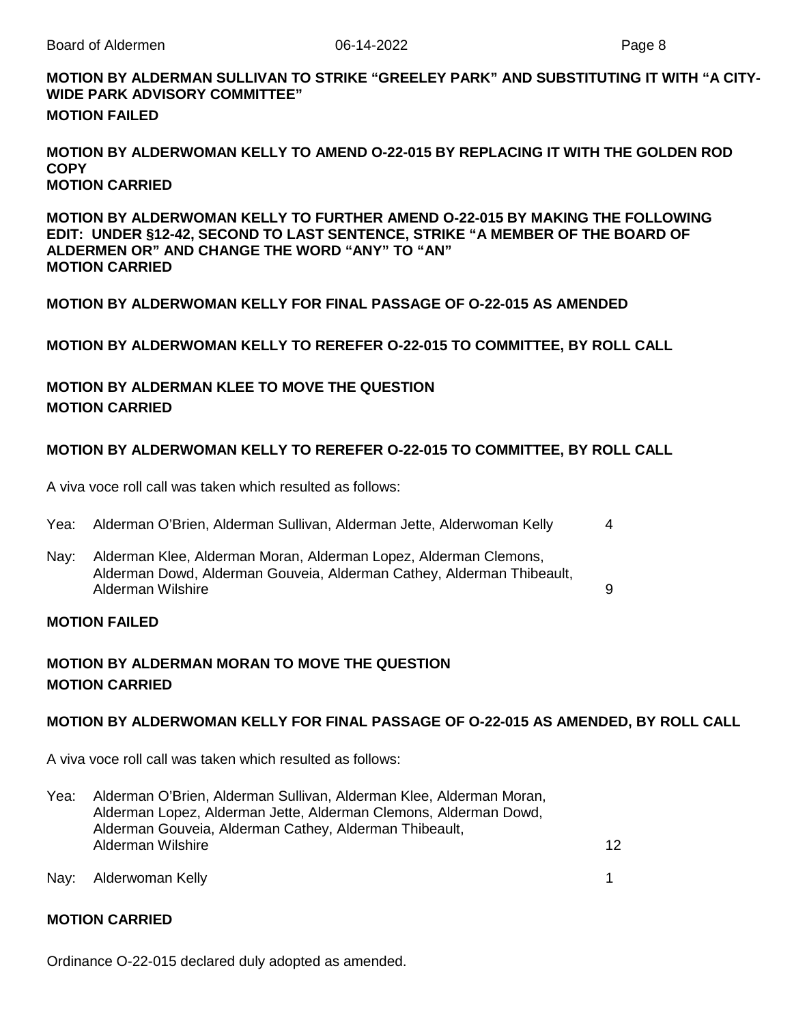### **MOTION BY ALDERMAN SULLIVAN TO STRIKE "GREELEY PARK" AND SUBSTITUTING IT WITH "A CITY-WIDE PARK ADVISORY COMMITTEE" MOTION FAILED**

### **MOTION BY ALDERWOMAN KELLY TO AMEND O-22-015 BY REPLACING IT WITH THE GOLDEN ROD COPY MOTION CARRIED**

**MOTION BY ALDERWOMAN KELLY TO FURTHER AMEND O-22-015 BY MAKING THE FOLLOWING EDIT: UNDER §12-42, SECOND TO LAST SENTENCE, STRIKE "A MEMBER OF THE BOARD OF ALDERMEN OR" AND CHANGE THE WORD "ANY" TO "AN" MOTION CARRIED**

**MOTION BY ALDERWOMAN KELLY FOR FINAL PASSAGE OF O-22-015 AS AMENDED**

**MOTION BY ALDERWOMAN KELLY TO REREFER O-22-015 TO COMMITTEE, BY ROLL CALL**

### **MOTION BY ALDERMAN KLEE TO MOVE THE QUESTION MOTION CARRIED**

### **MOTION BY ALDERWOMAN KELLY TO REREFER O-22-015 TO COMMITTEE, BY ROLL CALL**

A viva voce roll call was taken which resulted as follows:

| Yea: |  | . Alderman O'Brien, Alderman Sullivan, Alderman Jette, Alderwoman Kelly |  |  |  |
|------|--|-------------------------------------------------------------------------|--|--|--|
|------|--|-------------------------------------------------------------------------|--|--|--|

Nay: Alderman Klee, Alderman Moran, Alderman Lopez, Alderman Clemons, Alderman Dowd, Alderman Gouveia, Alderman Cathey, Alderman Thibeault, Alderman Wilshire 9

### **MOTION FAILED**

### **MOTION BY ALDERMAN MORAN TO MOVE THE QUESTION MOTION CARRIED**

### **MOTION BY ALDERWOMAN KELLY FOR FINAL PASSAGE OF O-22-015 AS AMENDED, BY ROLL CALL**

A viva voce roll call was taken which resulted as follows:

- Yea: Alderman O'Brien, Alderman Sullivan, Alderman Klee, Alderman Moran, Alderman Lopez, Alderman Jette, Alderman Clemons, Alderman Dowd, Alderman Gouveia, Alderman Cathey, Alderman Thibeault, Alderman Wilshire 12
- Nay: Alderwoman Kelly 1

### **MOTION CARRIED**

Ordinance O-22-015 declared duly adopted as amended.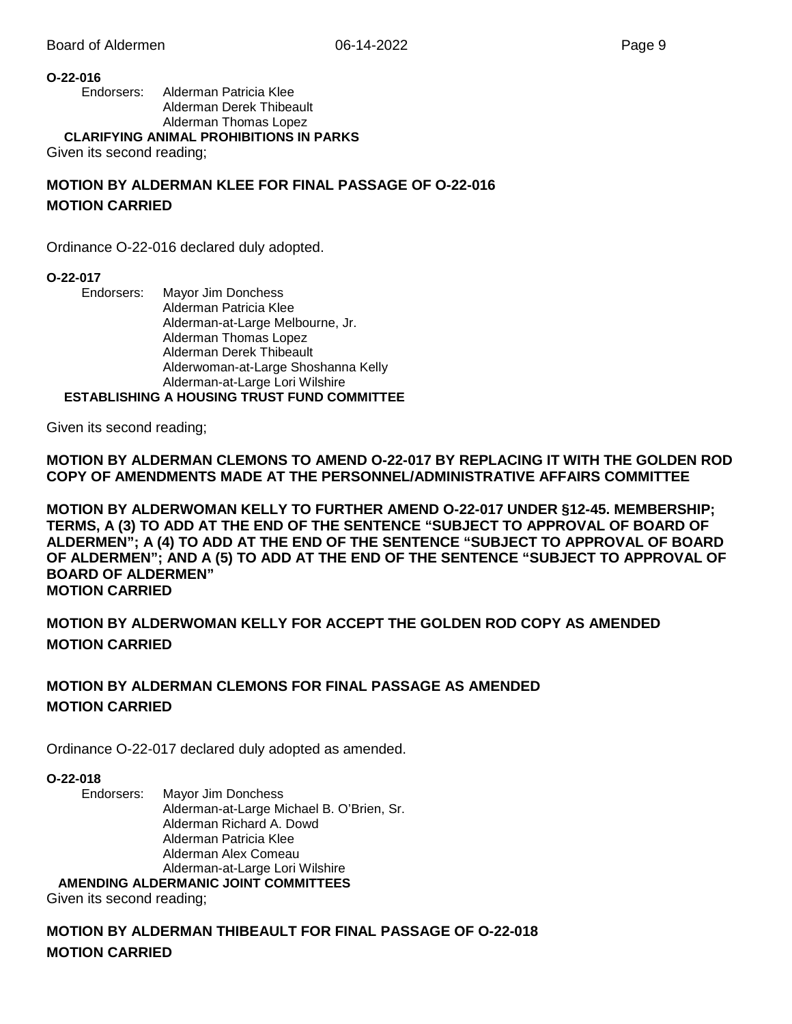### **O-22-016**

Endorsers: Alderman Patricia Klee Alderman Derek Thibeault Alderman Thomas Lopez

**CLARIFYING ANIMAL PROHIBITIONS IN PARKS**

Given its second reading;

### **MOTION BY ALDERMAN KLEE FOR FINAL PASSAGE OF O-22-016 MOTION CARRIED**

Ordinance O-22-016 declared duly adopted.

### **O-22-017**

Endorsers: Mayor Jim Donchess Alderman Patricia Klee Alderman-at-Large Melbourne, Jr. Alderman Thomas Lopez Alderman Derek Thibeault Alderwoman-at-Large Shoshanna Kelly Alderman-at-Large Lori Wilshire

**ESTABLISHING A HOUSING TRUST FUND COMMITTEE**

Given its second reading;

**MOTION BY ALDERMAN CLEMONS TO AMEND O-22-017 BY REPLACING IT WITH THE GOLDEN ROD COPY OF AMENDMENTS MADE AT THE PERSONNEL/ADMINISTRATIVE AFFAIRS COMMITTEE**

**MOTION BY ALDERWOMAN KELLY TO FURTHER AMEND O-22-017 UNDER §12-45. MEMBERSHIP; TERMS, A (3) TO ADD AT THE END OF THE SENTENCE "SUBJECT TO APPROVAL OF BOARD OF ALDERMEN"; A (4) TO ADD AT THE END OF THE SENTENCE "SUBJECT TO APPROVAL OF BOARD OF ALDERMEN"; AND A (5) TO ADD AT THE END OF THE SENTENCE "SUBJECT TO APPROVAL OF BOARD OF ALDERMEN" MOTION CARRIED**

**MOTION BY ALDERWOMAN KELLY FOR ACCEPT THE GOLDEN ROD COPY AS AMENDED MOTION CARRIED**

### **MOTION BY ALDERMAN CLEMONS FOR FINAL PASSAGE AS AMENDED MOTION CARRIED**

Ordinance O-22-017 declared duly adopted as amended.

### **O-22-018**

Endorsers: Mayor Jim Donchess Alderman-at-Large Michael B. O'Brien, Sr. Alderman Richard A. Dowd Alderman Patricia Klee Alderman Alex Comeau Alderman-at-Large Lori Wilshire

**AMENDING ALDERMANIC JOINT COMMITTEES**

Given its second reading;

**MOTION BY ALDERMAN THIBEAULT FOR FINAL PASSAGE OF O-22-018 MOTION CARRIED**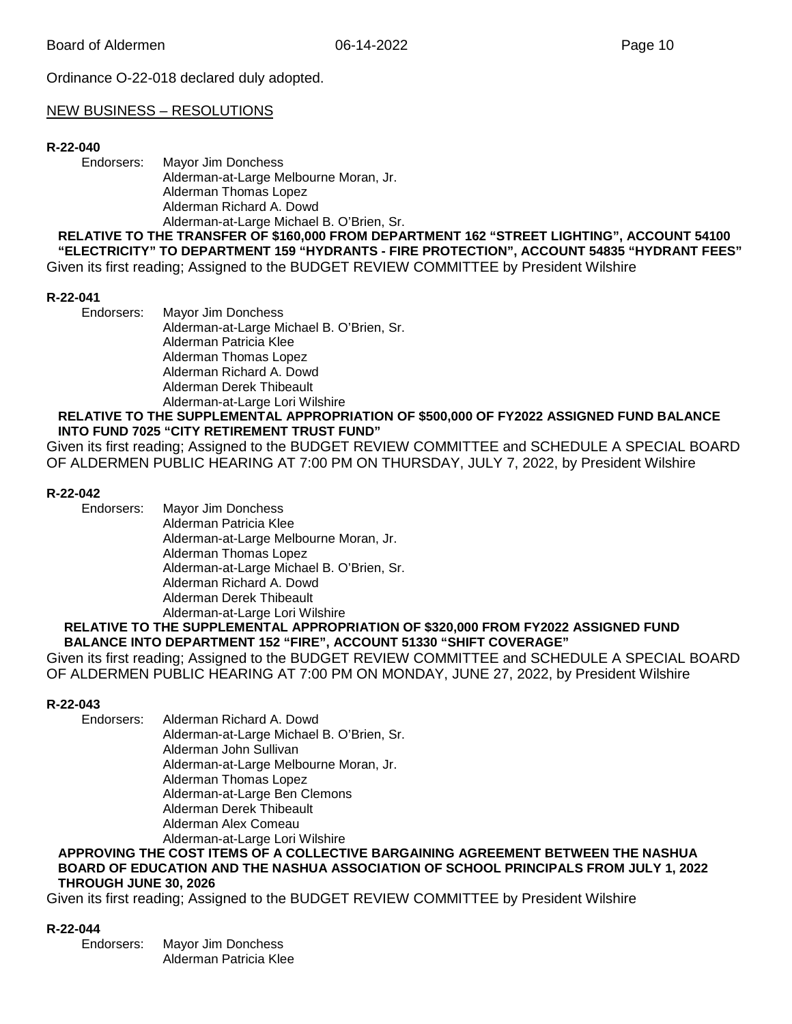Ordinance O-22-018 declared duly adopted.

### NEW BUSINESS – RESOLUTIONS

### **R-22-040**

Endorsers: Mayor Jim Donchess Alderman-at-Large Melbourne Moran, Jr. Alderman Thomas Lopez Alderman Richard A. Dowd Alderman-at-Large Michael B. O'Brien, Sr.

**RELATIVE TO THE TRANSFER OF \$160,000 FROM DEPARTMENT 162 "STREET LIGHTING", ACCOUNT 54100 "ELECTRICITY" TO DEPARTMENT 159 "HYDRANTS - FIRE PROTECTION", ACCOUNT 54835 "HYDRANT FEES"** Given its first reading; Assigned to the BUDGET REVIEW COMMITTEE by President Wilshire

### **R-22-041**

Endorsers: Mayor Jim Donchess Alderman-at-Large Michael B. O'Brien, Sr. Alderman Patricia Klee Alderman Thomas Lopez Alderman Richard A. Dowd Alderman Derek Thibeault Alderman-at-Large Lori Wilshire

### **RELATIVE TO THE SUPPLEMENTAL APPROPRIATION OF \$500,000 OF FY2022 ASSIGNED FUND BALANCE INTO FUND 7025 "CITY RETIREMENT TRUST FUND"**

Given its first reading; Assigned to the BUDGET REVIEW COMMITTEE and SCHEDULE A SPECIAL BOARD OF ALDERMEN PUBLIC HEARING AT 7:00 PM ON THURSDAY, JULY 7, 2022, by President Wilshire

### **R-22-042**

Endorsers: Mayor Jim Donchess Alderman Patricia Klee Alderman-at-Large Melbourne Moran, Jr. Alderman Thomas Lopez Alderman-at-Large Michael B. O'Brien, Sr. Alderman Richard A. Dowd Alderman Derek Thibeault Alderman-at-Large Lori Wilshire

#### **RELATIVE TO THE SUPPLEMENTAL APPROPRIATION OF \$320,000 FROM FY2022 ASSIGNED FUND BALANCE INTO DEPARTMENT 152 "FIRE", ACCOUNT 51330 "SHIFT COVERAGE"**

Given its first reading; Assigned to the BUDGET REVIEW COMMITTEE and SCHEDULE A SPECIAL BOARD OF ALDERMEN PUBLIC HEARING AT 7:00 PM ON MONDAY, JUNE 27, 2022, by President Wilshire

#### **R-22-043**

Endorsers: Alderman Richard A. Dowd

Alderman-at-Large Michael B. O'Brien, Sr.

Alderman John Sullivan

Alderman-at-Large Melbourne Moran, Jr.

Alderman Thomas Lopez

Alderman-at-Large Ben Clemons

Alderman Derek Thibeault

Alderman Alex Comeau

Alderman-at-Large Lori Wilshire

#### **APPROVING THE COST ITEMS OF A COLLECTIVE BARGAINING AGREEMENT BETWEEN THE NASHUA BOARD OF EDUCATION AND THE NASHUA ASSOCIATION OF SCHOOL PRINCIPALS FROM JULY 1, 2022 THROUGH JUNE 30, 2026**

Given its first reading; Assigned to the BUDGET REVIEW COMMITTEE by President Wilshire

#### **R-22-044**

Endorsers: Mayor Jim Donchess Alderman Patricia Klee